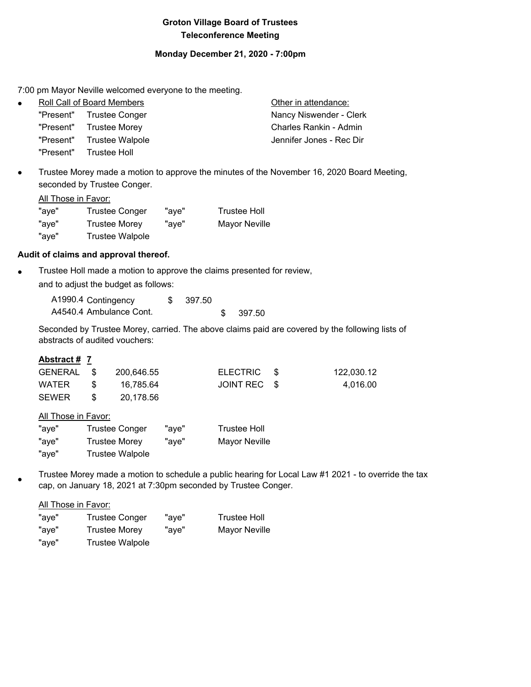## **Groton Village Board of Trustees Teleconference Meeting**

#### **Monday December 21, 2020 - 7:00pm**

7:00 pm Mayor Neville welcomed everyone to the meeting.

|  | Other in attendance:                                                                                                                     |
|--|------------------------------------------------------------------------------------------------------------------------------------------|
|  | Nancy Niswender - Clerk                                                                                                                  |
|  | Charles Rankin - Admin                                                                                                                   |
|  | Jennifer Jones - Rec Dir                                                                                                                 |
|  |                                                                                                                                          |
|  | Roll Call of Board Members<br>"Present" Trustee Conger<br>"Present" Trustee Morey<br>"Present" Trustee Walpole<br>"Present" Trustee Holl |

 Trustee Morey made a motion to approve the minutes of the November 16, 2020 Board Meeting, seconded by Trustee Conger.

|       | All Those in Favor:    |       |                      |
|-------|------------------------|-------|----------------------|
| "aye" | <b>Trustee Conger</b>  | "ave" | <b>Trustee Holl</b>  |
| "aye" | <b>Trustee Morey</b>   | "ave" | <b>Mayor Neville</b> |
| "aye" | <b>Trustee Walpole</b> |       |                      |

# **Audit of claims and approval thereof.**

**Trustee Holl made a motion to approve the claims presented for review,** and to adjust the budget as follows:

| A1990.4 Contingency     | 397.50 |        |
|-------------------------|--------|--------|
| A4540.4 Ambulance Cont. |        | 397.50 |

Seconded by Trustee Morey, carried. The above claims paid are covered by the following lists of abstracts of audited vouchers:

#### **Abstract # 7**

| GENERAL \$ |     | 200.646.55 | ELECTRIC \$  | 122,030.12 |
|------------|-----|------------|--------------|------------|
| WATER      | -SS | 16.785.64  | JOINT REC \$ | 4.016.00   |
| SEWER      |     | 20.178.56  |              |            |

All Those in Favor:

| "aye" | <b>Trustee Conger</b> | "ave" | <b>Trustee Holl</b>  |
|-------|-----------------------|-------|----------------------|
| "aye" | Trustee Morey         | "ave" | <b>Mayor Neville</b> |
| "aye" | Trustee Walpole       |       |                      |

 $\bullet$ Trustee Morey made a motion to schedule a public hearing for Local Law #1 2021 - to override the tax cap, on January 18, 2021 at 7:30pm seconded by Trustee Conger.

All Those in Favor:

| "aye" | Trustee Conger         | "ave" | <b>Trustee Holl</b>  |
|-------|------------------------|-------|----------------------|
| "aye" | <b>Trustee Morey</b>   | "aye" | <b>Mayor Neville</b> |
| "aye" | <b>Trustee Walpole</b> |       |                      |